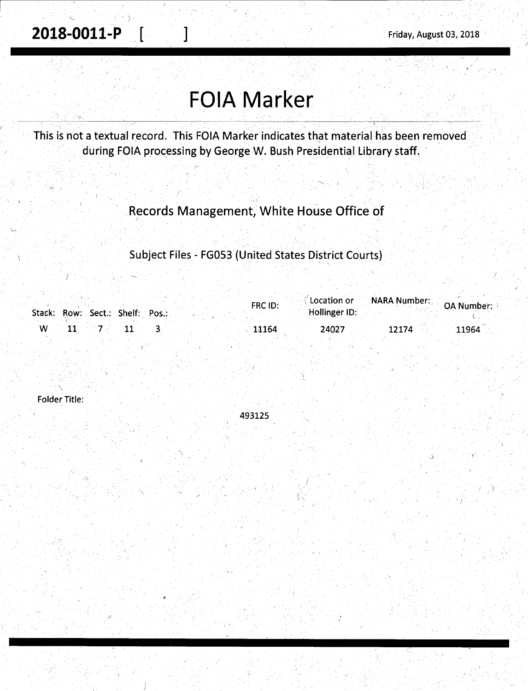. Let  $\{x_i\}_{i=1}^N$  . In the set of  $\{x_i\}_{i=1}^N$ 

# **FOIA Marker**

This is not a textual record. This FOIA Marker indicates that material has been removed during FOIA processing by George W. Bush Presidential Library staff.

Records Management, White House Office of

Subject Files - FG053 (United States District Courts)

| Stack: Row: Sect.: Shelf: Pos.: | FRC ID: | <b>Constitution of CONARA Number: OA Number:</b><br>Hollinger ID: |       |       |
|---------------------------------|---------|-------------------------------------------------------------------|-------|-------|
| w                               | 11164   | 24027                                                             | 12174 | 11964 |

Folder Title:

·' '

493125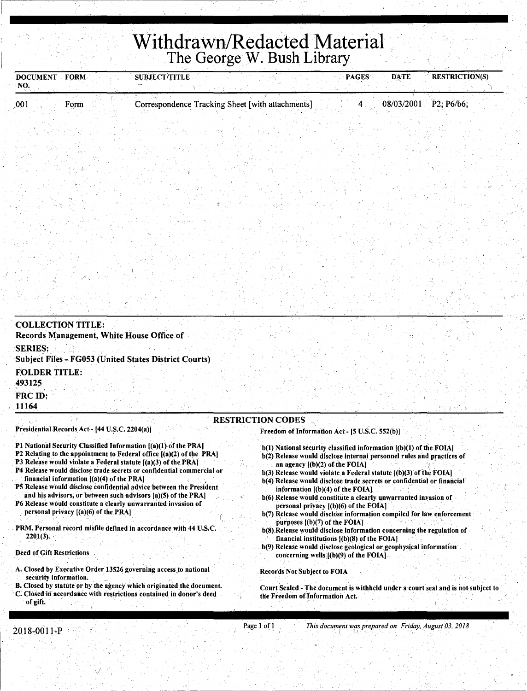## **Withdrawn/Redacted Material**  The George W. Bush Library

| NO.                                              | <b>FORM</b>                                                                                                                             | <b>SUBJECT/TITLE</b>                                                                                                                                                                                                                                                                                                                                                                                                                                                                                                                                               |                                                                                                                                                                                                      | <b>DATE</b><br><b>PAGES</b>                                                                                                                                                                                                                                                                                                                                                                                                                                                                                                                                   | <b>RESTRICTION(S)</b> |
|--------------------------------------------------|-----------------------------------------------------------------------------------------------------------------------------------------|--------------------------------------------------------------------------------------------------------------------------------------------------------------------------------------------------------------------------------------------------------------------------------------------------------------------------------------------------------------------------------------------------------------------------------------------------------------------------------------------------------------------------------------------------------------------|------------------------------------------------------------------------------------------------------------------------------------------------------------------------------------------------------|---------------------------------------------------------------------------------------------------------------------------------------------------------------------------------------------------------------------------------------------------------------------------------------------------------------------------------------------------------------------------------------------------------------------------------------------------------------------------------------------------------------------------------------------------------------|-----------------------|
| .001                                             | Form                                                                                                                                    | Correspondence Tracking Sheet [with attachments]                                                                                                                                                                                                                                                                                                                                                                                                                                                                                                                   |                                                                                                                                                                                                      | 08/03/2001                                                                                                                                                                                                                                                                                                                                                                                                                                                                                                                                                    | P2; P6/b6;            |
|                                                  |                                                                                                                                         |                                                                                                                                                                                                                                                                                                                                                                                                                                                                                                                                                                    |                                                                                                                                                                                                      |                                                                                                                                                                                                                                                                                                                                                                                                                                                                                                                                                               |                       |
|                                                  |                                                                                                                                         |                                                                                                                                                                                                                                                                                                                                                                                                                                                                                                                                                                    |                                                                                                                                                                                                      |                                                                                                                                                                                                                                                                                                                                                                                                                                                                                                                                                               |                       |
|                                                  |                                                                                                                                         |                                                                                                                                                                                                                                                                                                                                                                                                                                                                                                                                                                    |                                                                                                                                                                                                      |                                                                                                                                                                                                                                                                                                                                                                                                                                                                                                                                                               |                       |
|                                                  |                                                                                                                                         |                                                                                                                                                                                                                                                                                                                                                                                                                                                                                                                                                                    |                                                                                                                                                                                                      |                                                                                                                                                                                                                                                                                                                                                                                                                                                                                                                                                               |                       |
| <b>SERIES:</b><br><b>FOLDER TITLE:</b><br>493125 |                                                                                                                                         | Records Management, White House Office of<br><b>Subject Files - FG053 (United States District Courts)</b>                                                                                                                                                                                                                                                                                                                                                                                                                                                          |                                                                                                                                                                                                      |                                                                                                                                                                                                                                                                                                                                                                                                                                                                                                                                                               |                       |
|                                                  |                                                                                                                                         |                                                                                                                                                                                                                                                                                                                                                                                                                                                                                                                                                                    |                                                                                                                                                                                                      |                                                                                                                                                                                                                                                                                                                                                                                                                                                                                                                                                               |                       |
| FRC ID:<br>11164                                 |                                                                                                                                         |                                                                                                                                                                                                                                                                                                                                                                                                                                                                                                                                                                    | <b>RESTRICTION CODES</b>                                                                                                                                                                             |                                                                                                                                                                                                                                                                                                                                                                                                                                                                                                                                                               |                       |
| $2201(3)$ .                                      | Presidential Records Act - [44 U.S.C. 2204(a)]<br>financial information $[(a)(4)$ of the PRA]<br>personal privacy $[(a)(6)$ of the PRA] | P1 National Security Classified Information [(a)(1) of the PRA]<br>P2 Relating to the appointment to Federal office ((a)(2) of the PRA)<br>P3 Release would violate a Federal statute $[(a)(3)$ of the PRA]<br>P4 Release would disclose trade secrets or confidential commercial or<br>P5 Release would disclose confidential advice between the President<br>and his advisors, or between such advisors [a](5) of the PRA]<br>P6 Release would constitute a clearly unwarranted invasion of<br>PRM. Personal record misfile defined in accordance with 44 U.S.C. | Freedom of Information Act - [5 U.S.C. 552(b)]<br>an agency $[(b)(2)$ of the FOIA.<br>information $[(b)(4)$ of the FOIA]<br>personal privacy [(b)(6) of the FOIA]<br>purposes $[(b)(7)$ of the FOIA] | b(1) National security classified information [(b)(1) of the FOIA]<br>b(2) Release would disclose internal personnel rules and practices of<br>b(3) Release would violate a Federal statute [(b)(3) of the FOIA]<br>b(4) Release would disclose trade secrets or confidential or financial<br>b(6) Release would constitute a clearly unwarranted invasion of<br>b(7) Release would disclose information compiled for law enforcement<br>b(8). Release would disclose information concerning the regulation of<br>financial institutions [(b)(8) of the FOIA] |                       |
| <b>Deed of Gift Restrictions</b>                 |                                                                                                                                         | A. Closed by Executive Order 13526 governing access to national                                                                                                                                                                                                                                                                                                                                                                                                                                                                                                    | concerning wells $[(b)(9)$ of the FOIA.<br><b>Records Not Subject to FOIA</b>                                                                                                                        | b(9) Release would disclose geological or geophysical information                                                                                                                                                                                                                                                                                                                                                                                                                                                                                             |                       |

 $\sqrt{2}$